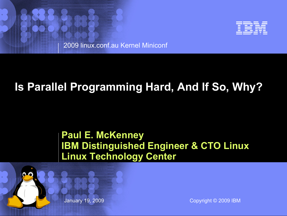

2009 linux.conf.au Kernel Miniconf

# **Is Parallel Programming Hard, And If So, Why?**

#### **Paul E. McKenney IBM Distinguished Engineer & CTO Linux Linux Technology Center**



© 2002 IBM Corporation January 19, 2009 Copyright © 2009 IBM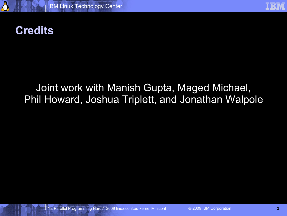

## **Credits**

#### Joint work with Manish Gupta, Maged Michael, Phil Howard, Joshua Triplett, and Jonathan Walpole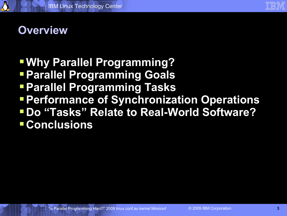

## **Overview**

## **Why Parallel Programming?**

- **Parallel Programming Goals**
- **Parallel Programming Tasks**
- **Performance of Synchronization Operations**
- **Do "Tasks" Relate to Real-World Software? Conclusions**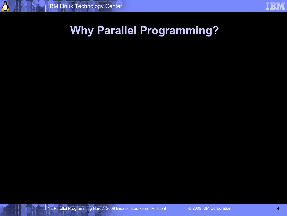|                   | $\sim$ | . . |                        |
|-------------------|--------|-----|------------------------|
| and the state     |        |     |                        |
| <b>STATISTICS</b> |        |     |                        |
| . .               |        |     | <b>STATISTICS</b>      |
|                   |        |     | ٠                      |
|                   |        |     | <b>Service Service</b> |

## **Why Parallel Programming?**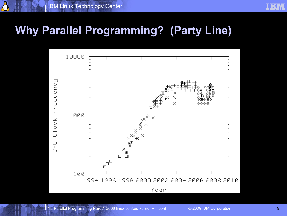| <b>STATE</b><br><b>STATE</b> |                        |     |
|------------------------------|------------------------|-----|
|                              |                        |     |
|                              |                        |     |
|                              |                        |     |
|                              |                        |     |
|                              |                        |     |
|                              |                        |     |
|                              | <b>Service Service</b> | a i |

## **Why Parallel Programming? (Party Line)**

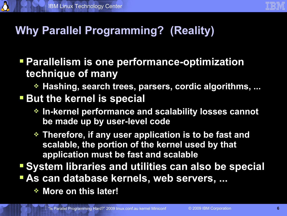# **Why Parallel Programming? (Reality)**

 **Parallelism is one performance-optimization technique of many**

**Hashing, search trees, parsers, cordic algorithms, ...**

#### **But the kernel is special**

- **In-kernel performance and scalability losses cannot be made up by user-level code**
- **Therefore, if any user application is to be fast and scalable, the portion of the kernel used by that application must be fast and scalable**

**System libraries and utilities can also be special**

- **As can database kernels, web servers, ...**
	- **More on this later!**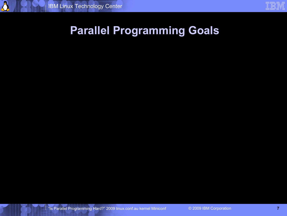## **Parallel Programming Goals**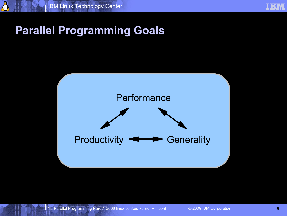

## **Parallel Programming Goals**

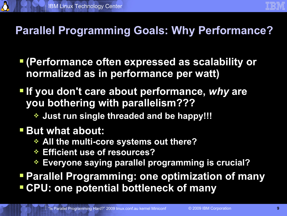# **Parallel Programming Goals: Why Performance?**

- **(Performance often expressed as scalability or normalized as in performance per watt)**
- **If you don't care about performance,** *why* **are you bothering with parallelism???**
	- **Just run single threaded and be happy!!!**

## **But what about:**

- **All the multi-core systems out there?**
- **Efficient use of resources?**
- **Everyone saying parallel programming is crucial?**
- **Parallel Programming: one optimization of many CPU: one potential bottleneck of many**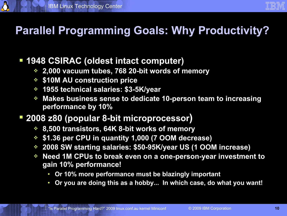# **Parallel Programming Goals: Why Productivity?**

#### **1948 CSIRAC (oldest intact computer)**

- **2,000 vacuum tubes, 768 20-bit words of memory**
- **\$10M AU construction price**
- **1955 technical salaries: \$3-5K/year**
- **Makes business sense to dedicate 10-person team to increasing performance by 10%**

#### **2008 z80 (popular 8-bit microprocessor)**

- **8,500 transistors, 64K 8-bit works of memory**
- **\$1.36 per CPU in quantity 1,000 (7 OOM decrease)**
- **2008 SW starting salaries: \$50-95K/year US (1 OOM increase)**
- **Need 1M CPUs to break even on a one-person-year investment to gain 10% performance!**
	- **Or 10% more performance must be blazingly important**
	- **Or you are doing this as a hobby... In which case, do what you want!**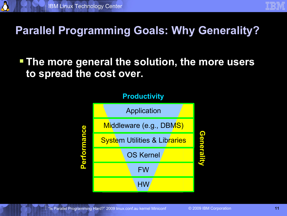## **Parallel Programming Goals: Why Generality?**

#### **The more general the solution, the more users to spread the cost over.**

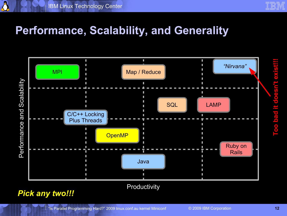## **Performance, Scalability, and Generality**



#### **Productivity**

#### *Pick any two!!!*

doesn't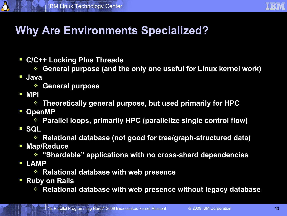# **Why Are Environments Specialized?**

- **C/C++ Locking Plus Threads** 
	- **General purpose (and the only one useful for Linux kernel work)**
- **Java**

A

- **General purpose**
- **MPI**
	- **Theoretically general purpose, but used primarily for HPC**
- **D** OpenMP
	- **Parallel loops, primarily HPC (parallelize single control flow)**
- **SQL**
	- **Relational database (not good for tree/graph-structured data)**
- **Map/Reduce**
	- **"Shardable" applications with no cross-shard dependencies**
- **LAMP**
	- **Relational database with web presence**
- **Ruby on Rails**
	- **Relational database with web presence without legacy database**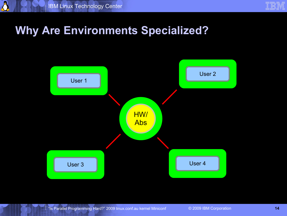## **Why Are Environments Specialized?**

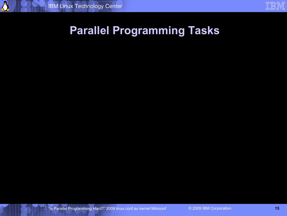## **Parallel Programming Tasks**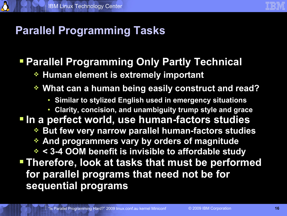

## **Parallel Programming Tasks**

#### **Parallel Programming Only Partly Technical**

**Human element is extremely important**

#### **What can a human being easily construct and read?**

- **Similar to stylized English used in emergency situations**
- **Clarity, concision, and unambiguity trump style and grace**

# **In a perfect world, use human-factors studies**

- **But few very narrow parallel human-factors studies**
- **And programmers vary by orders of magnitude**
- **< 3-4 OOM benefit is invisible to affordable study Therefore, look at tasks that must be performed for parallel programs that need not be for sequential programs**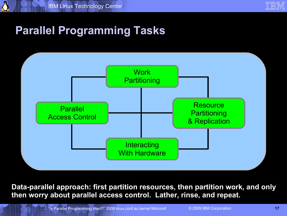

## **Parallel Programming Tasks**



**Data-parallel approach: first partition resources, then partition work, and only then worry about parallel access control. Lather, rinse, and repeat.**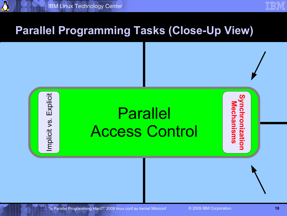

### **Parallel Programming Tasks (Close-Up View)**



"Is Parallel Programming Hard?" 2009 linux.conf.au kernel Miniconf © 2009 IBM Corporation **18**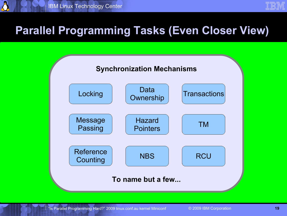

### **Parallel Programming Tasks (Even Closer View)**

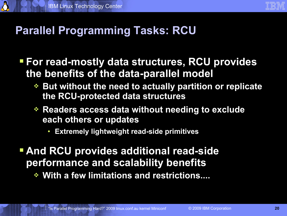## **Parallel Programming Tasks: RCU**

- **For read-mostly data structures, RCU provides the benefits of the data-parallel model**
	- **But without the need to actually partition or replicate the RCU-protected data structures**
	- **Readers access data without needing to exclude each others or updates**
		- **Extremely lightweight read-side primitives**
- **And RCU provides additional read-side performance and scalability benefits**
	- **With a few limitations and restrictions....**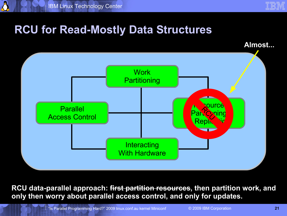## **RCU for Read-Mostly Data Structures**

**Almost...**



**RCU data-parallel approach: first partition resources, then partition work, and only then worry about parallel access control, and only for updates.**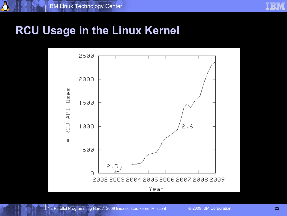## **RCU Usage in the Linux Kernel**

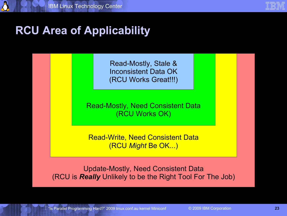# **RCU Area of Applicability**

Read-Mostly, Stale & Inconsistent Data OK (RCU Works Great!!!)

Read-Mostly, Need Consistent Data (RCU Works OK)

Read-Write, Need Consistent Data (RCU *Might* Be OK...)

Update-Mostly, Need Consistent Data (RCU is *Really* Unlikely to be the Right Tool For The Job)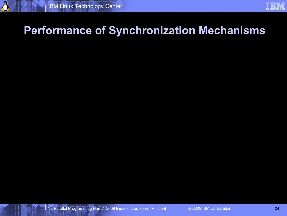## **Performance of Synchronization Mechanisms**

"Is Parallel Programming Hard?" 2009 linux.conf.au kernel Miniconf © 2009 IBM Corporation **24**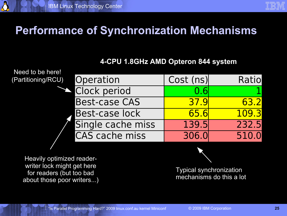## **Performance of Synchronization Mechanisms**

#### **4-CPU 1.8GHz AMD Opteron 844 system**

Need to be here! (Partitioning/RC

| U) Operation          | Cost (ns)   | Ratiol |
|-----------------------|-------------|--------|
| Clock period          | 0.6         |        |
| <b>Best-case CAS</b>  | <b>37.9</b> | 63.2   |
| Best-case lock        | <b>65.6</b> | 109.3  |
| Single cache miss     | 139.5       | 232.5  |
| <b>CAS cache miss</b> | 306.0       | 510.0  |

Heavily optimized readerwriter lock might get here for readers (but too bad about those poor writers...)



Typical synchronization mechanisms do this a lot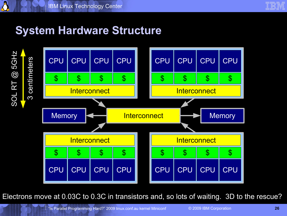

# **System Hardware Structure**

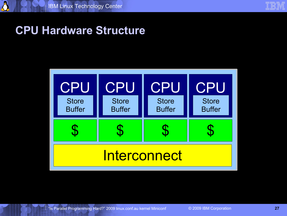

## **CPU Hardware Structure**

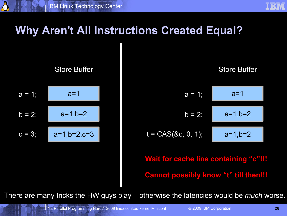| and the state     | <b>STATE</b> | a sa sala          |
|-------------------|--------------|--------------------|
| <b>STATISTICS</b> |              |                    |
| <b>STATISTICS</b> |              | <b>STATISTICS</b>  |
|                   |              | a i<br>and a state |
|                   |              |                    |

## **Why Aren't All Instructions Created Equal?**

 $a = 1$ ;  $b = 2;$  $c = 3$ ; Store Buffer  $a=1$  $a=1,b=2$ a=1,b=2,c=3

A



**Wait for cache line containing "c"!!! Cannot possibly know "t" till then!!!**

There are many tricks the HW guys play – otherwise the latencies would be *much* worse.

"Is Parallel Programming Hard?" 2009 linux.conf.au kernel Miniconf © 2009 IBM Corporation **28**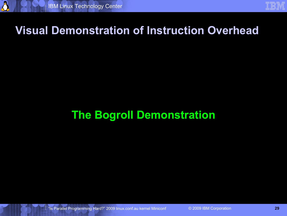## **Visual Demonstration of Instruction Overhead**

## **The Bogroll Demonstration**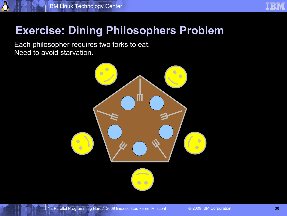|                                    | <b>STATE</b> | <b>STATE</b> |                   |  |
|------------------------------------|--------------|--------------|-------------------|--|
| and the state<br><b>STATISTICS</b> |              |              |                   |  |
| a sa na                            |              | a sa ta      | <b>STATISTICS</b> |  |
|                                    |              |              | a i               |  |
|                                    |              |              |                   |  |

## **Exercise: Dining Philosophers Problem**

Each philosopher requires two forks to eat. Need to avoid starvation.

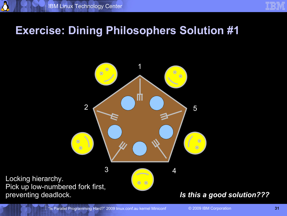|                                                                                                                                 | <b>STATE</b> | <b>STATE</b> |                        |
|---------------------------------------------------------------------------------------------------------------------------------|--------------|--------------|------------------------|
| and the state                                                                                                                   |              |              |                        |
| <b>STATISTICS</b>                                                                                                               |              |              |                        |
|                                                                                                                                 |              |              | <b>STATISTICS</b>      |
|                                                                                                                                 |              |              | a i                    |
| $\mathcal{L}^{\text{max}}_{\text{max}}$ and $\mathcal{L}^{\text{max}}_{\text{max}}$ and $\mathcal{L}^{\text{max}}_{\text{max}}$ |              |              | <b>Service Service</b> |

#### **Exercise: Dining Philosophers Solution #1**

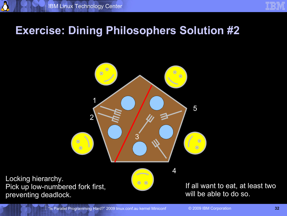|                                                                                                                                 | <b>STATE</b> | <b>STATE</b> |                        |
|---------------------------------------------------------------------------------------------------------------------------------|--------------|--------------|------------------------|
| and the state                                                                                                                   |              |              |                        |
| <b>STATISTICS</b>                                                                                                               |              |              |                        |
|                                                                                                                                 |              |              | <b>STATISTICS</b>      |
|                                                                                                                                 |              |              | a i                    |
| $\mathcal{L}^{\text{max}}_{\text{max}}$ and $\mathcal{L}^{\text{max}}_{\text{max}}$ and $\mathcal{L}^{\text{max}}_{\text{max}}$ |              |              | <b>Service Service</b> |

#### **Exercise: Dining Philosophers Solution #2**



Locking hierarchy. Pick up low-numbered fork first, preventing deadlock.

If all want to eat, at least two will be able to do so.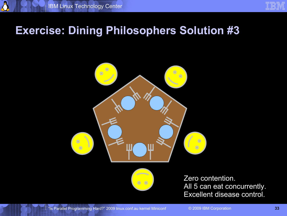#### **Exercise: Dining Philosophers Solution #3**





Zero contention. All 5 can eat concurrently. Excellent disease control.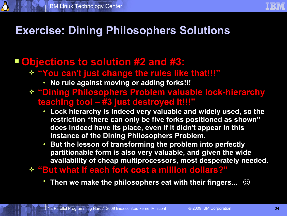## **Exercise: Dining Philosophers Solutions**

#### **Objections to solution #2 and #3:**

- **"You can't just change the rules like that!!!"**
	- **No rule against moving or adding forks!!!**
- **"Dining Philosophers Problem valuable lock-hierarchy teaching tool – #3 just destroyed it!!!"**
	- **Lock hierarchy is indeed very valuable and widely used, so the restriction "there can only be five forks positioned as shown" does indeed have its place, even if it didn't appear in this instance of the Dining Philosophers Problem.**
	- **But the lesson of transforming the problem into perfectly partitionable form is also very valuable, and given the wide availability of cheap multiprocessors, most desperately needed.**
- **"But what if each fork cost a million dollars?"**
	- **Then we make the philosophers eat with their fingers... ☺**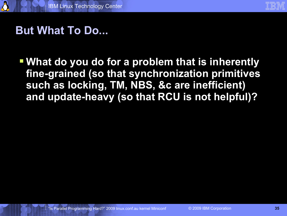

## **But What To Do...**

 **What do you do for a problem that is inherently fine-grained (so that synchronization primitives such as locking, TM, NBS, &c are inefficient) and update-heavy (so that RCU is not helpful)?**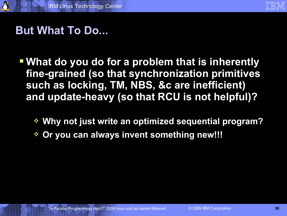

## **But What To Do...**

- **What do you do for a problem that is inherently fine-grained (so that synchronization primitives such as locking, TM, NBS, &c are inefficient) and update-heavy (so that RCU is not helpful)?**
	- **Why not just write an optimized sequential program?**
	- **Or you can always invent something new!!!**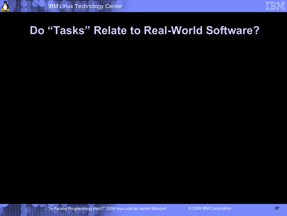#### **Do "Tasks" Relate to Real-World Software?**

"Is Parallel Programming Hard?" 2009 linux.conf.au kernel Miniconf © 2009 IBM Corporation **37**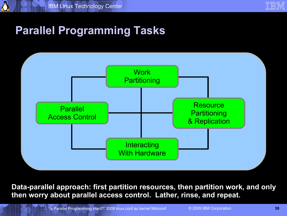

## **Parallel Programming Tasks**



**Data-parallel approach: first partition resources, then partition work, and only then worry about parallel access control. Lather, rinse, and repeat.**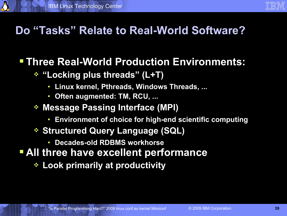## **Do "Tasks" Relate to Real-World Software?**

#### **Three Real-World Production Environments:**

- **"Locking plus threads" (L+T)**
	- **Linux kernel, Pthreads, Windows Threads, ...**
	- **Often augmented: TM, RCU, ...**
- **Message Passing Interface (MPI)**
	- **Environment of choice for high-end scientific computing**
- **Structured Query Language (SQL)**
	- **Decades-old RDBMS workhorse**
- **All three have excellent performance**
	- **Look primarily at productivity**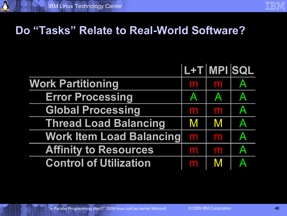#### **Do "Tasks" Relate to Real-World Software?**

|                                 | L+T MPI SQL                                                                                                |              |                         |
|---------------------------------|------------------------------------------------------------------------------------------------------------|--------------|-------------------------|
| <b>Work Partitioning</b>        | m                                                                                                          | m            | $\mathsf{A}$            |
| <b>Error Processing</b>         | $\mathbf{A}$                                                                                               | $\mathsf{A}$ | $\mathsf{A}$            |
| <b>Global Processing</b>        | m                                                                                                          | m            | $\mathsf{A}$            |
| <b>Thread Load Balancing</b>    | $\mathsf{M}% _{T}=\mathsf{M}_{T}\!\left( a,b\right) ,\ \mathsf{M}_{T}=\mathsf{M}_{T}\!\left( a,b\right) ,$ | M            | $\overline{\mathsf{A}}$ |
| <b>Work Item Load Balancing</b> | m                                                                                                          | m            | A                       |
| <b>Affinity to Resources</b>    | m                                                                                                          | m            | $\overline{\mathsf{A}}$ |
| <b>Control of Utilization</b>   | m                                                                                                          | M            | $\blacktriangle$        |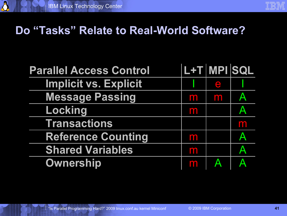## **Do "Tasks" Relate to Real-World Software?**

| <b>Parallel Access Control</b> |   | L+T MPI SQL      |                         |
|--------------------------------|---|------------------|-------------------------|
| <b>Implicit vs. Explicit</b>   |   | $\bigoplus$      |                         |
| <b>Message Passing</b>         | m | m                | $\mathsf{A}$            |
| Locking                        | m |                  | $\blacktriangle$        |
| <b>Transactions</b>            |   |                  | m                       |
| <b>Reference Counting</b>      | m |                  | $\overline{\mathbf{A}}$ |
| <b>Shared Variables</b>        | m |                  | $\mathsf{A}$            |
| <b>Ownership</b>               | m | $\blacktriangle$ | $\blacktriangle$        |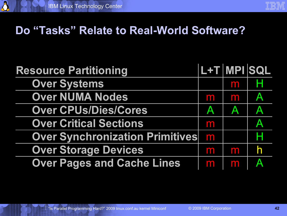## **Do "Tasks" Relate to Real-World Software?**

| <b>Resource Partitioning</b>           | L+T MPI SQL |                         |                         |
|----------------------------------------|-------------|-------------------------|-------------------------|
| <b>Over Systems</b>                    |             | m                       | н                       |
| <b>Over NUMA Nodes</b>                 | m           | m                       | $\mathbf{A}$            |
| <b>Over CPUs/Dies/Cores</b>            | Α           | $\overline{\mathsf{A}}$ | A                       |
| <b>Over Critical Sections</b>          | m           |                         | $\overline{A}$          |
| <b>Over Synchronization Primitives</b> | m           |                         | Н                       |
| <b>Over Storage Devices</b>            | m           | m                       | h                       |
| <b>Over Pages and Cache Lines</b>      | <b>For</b>  | m                       | $\overline{\mathbf{A}}$ |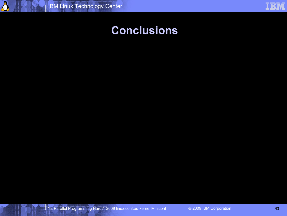### **Conclusions**

"Is Parallel Programming Hard?" 2009 linux.conf.au kernel Miniconf © 2009 IBM Corporation **43**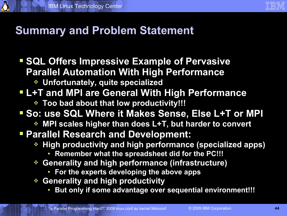

## **Summary and Problem Statement**

- **SQL Offers Impressive Example of Pervasive Parallel Automation With High Performance**
	- **Unfortunately, quite specialized**
- **L+T and MPI are General With High Performance**
	- **Too bad about that low productivity!!!**
- **So: use SQL Where it Makes Sense, Else L+T or MPI** 
	- **MPI scales higher than does L+T, but harder to convert**
- **Parallel Research and Development:**
	- **High productivity and high performance (specialized apps)**
		- **Remember what the spreadsheet did for the PC!!!**
	- **Generality and high performance (infrastructure)**
		- **For the experts developing the above apps**
	- **Generality and high productivity**
		- **But only if some advantage over sequential environment!!!**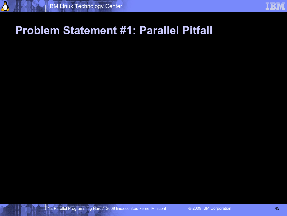## **Problem Statement #1: Parallel Pitfall**

"Is Parallel Programming Hard?" 2009 linux.conf.au kernel Miniconf © 2009 IBM Corporation **45**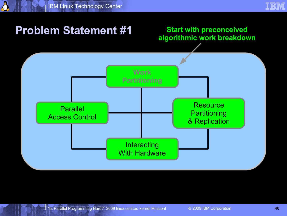#### **Start with preconceived algorithmic work breakdown**

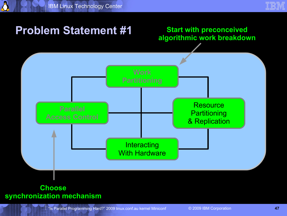#### **Start with preconceived algorithmic work breakdown**



#### **Choose synchronization mechanism**

"Is Parallel Programming Hard?" 2009 linux.conf.au kernel Miniconf © 2009 IBM Corporation **47**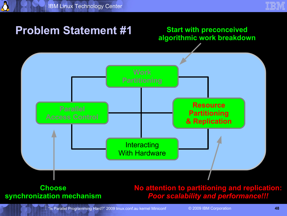

#### **Start with preconceived algorithmic work breakdown**



#### **Choose synchronization mechanism**

#### **No attention to partitioning and replication:** *Poor scalability and performance!!!*

"Is Parallel Programming Hard?" 2009 linux.conf.au kernel Miniconf © 2009 IBM Corporation **48**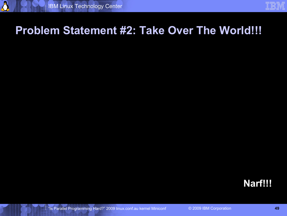## **Problem Statement #2: Take Over The World!!!**

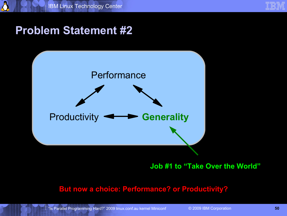



**Job #1 to "Take Over the World"**

#### **But now a choice: Performance? or Productivity?**

"Is Parallel Programming Hard?" 2009 linux.conf.au kernel Miniconf © 2009 IBM Corporation **50**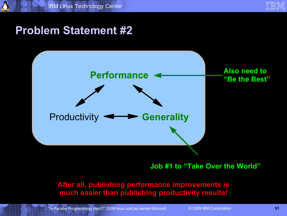



**Job #1 to "Take Over the World"**

**After all, publishing performance improvements is much easier than publishing productivity results!**

"Is Parallel Programming Hard?" 2009 linux.conf.au kernel Miniconf © 2009 IBM Corporation **51**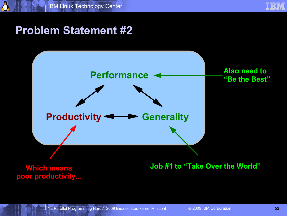

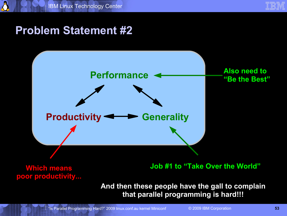



**Which means poor productivity...** **Job #1 to "Take Over the World"**

**And then these people have the gall to complain that parallel programming is hard!!!**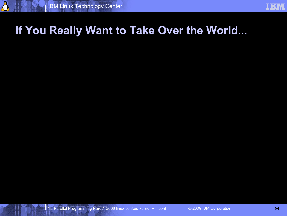## **If You Really Want to Take Over the World...**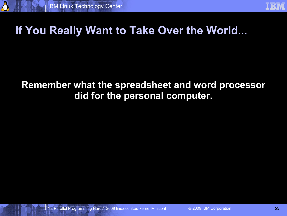8

## **If You Really Want to Take Over the World...**

#### **Remember what the spreadsheet and word processor did for the personal computer.**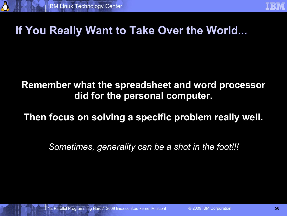## **If You Really Want to Take Over the World...**

#### **Remember what the spreadsheet and word processor did for the personal computer.**

#### **Then focus on solving a specific problem really well.**

*Sometimes, generality can be a shot in the foot!!!*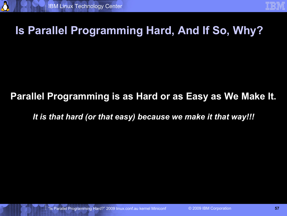## **Is Parallel Programming Hard, And If So, Why?**

#### **Parallel Programming is as Hard or as Easy as We Make It.**

*It is that hard (or that easy) because we make it that way!!!*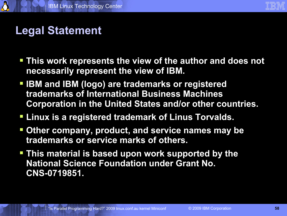

# **Legal Statement**

- **This work represents the view of the author and does not necessarily represent the view of IBM.**
- **IBM and IBM (logo) are trademarks or registered trademarks of International Business Machines Corporation in the United States and/or other countries.**
- **Linux is a registered trademark of Linus Torvalds.**
- **Other company, product, and service names may be trademarks or service marks of others.**
- **This material is based upon work supported by the National Science Foundation under Grant No. CNS-0719851.**